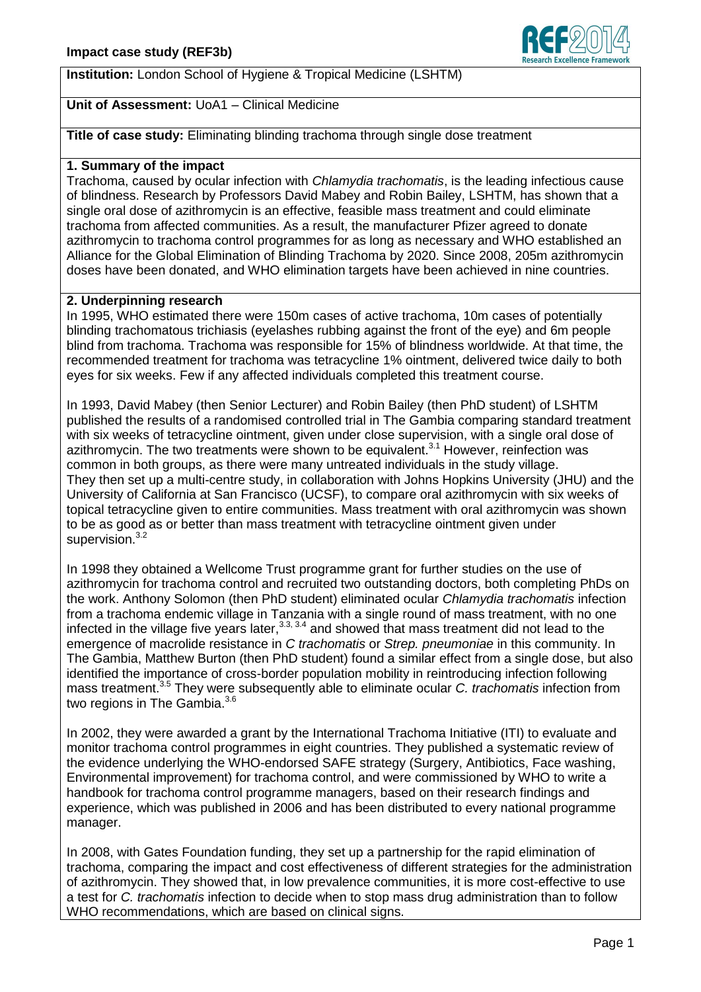# **Institution:** London School of Hygiene & Tropical Medicine (LSHTM)

# **Unit of Assessment:** UoA1 – Clinical Medicine

**Title of case study:** Eliminating blinding trachoma through single dose treatment

## **1. Summary of the impact**

Trachoma, caused by ocular infection with *Chlamydia trachomatis*, is the leading infectious cause of blindness. Research by Professors David Mabey and Robin Bailey, LSHTM, has shown that a single oral dose of azithromycin is an effective, feasible mass treatment and could eliminate trachoma from affected communities. As a result, the manufacturer Pfizer agreed to donate azithromycin to trachoma control programmes for as long as necessary and WHO established an Alliance for the Global Elimination of Blinding Trachoma by 2020. Since 2008, 205m azithromycin doses have been donated, and WHO elimination targets have been achieved in nine countries.

## **2. Underpinning research**

In 1995, WHO estimated there were 150m cases of active trachoma, 10m cases of potentially blinding trachomatous trichiasis (eyelashes rubbing against the front of the eye) and 6m people blind from trachoma. Trachoma was responsible for 15% of blindness worldwide. At that time, the recommended treatment for trachoma was tetracycline 1% ointment, delivered twice daily to both eyes for six weeks. Few if any affected individuals completed this treatment course.

In 1993, David Mabey (then Senior Lecturer) and Robin Bailey (then PhD student) of LSHTM published the results of a randomised controlled trial in The Gambia comparing standard treatment with six weeks of tetracycline ointment, given under close supervision, with a single oral dose of azithromycin. The two treatments were shown to be equivalent.<sup>3.1</sup> However, reinfection was common in both groups, as there were many untreated individuals in the study village. They then set up a multi-centre study, in collaboration with Johns Hopkins University (JHU) and the University of California at San Francisco (UCSF), to compare oral azithromycin with six weeks of topical tetracycline given to entire communities. Mass treatment with oral azithromycin was shown to be as good as or better than mass treatment with tetracycline ointment given under supervision.<sup>3.2</sup>

In 1998 they obtained a Wellcome Trust programme grant for further studies on the use of azithromycin for trachoma control and recruited two outstanding doctors, both completing PhDs on the work. Anthony Solomon (then PhD student) eliminated ocular *Chlamydia trachomatis* infection from a trachoma endemic village in Tanzania with a single round of mass treatment, with no one infected in the village five years later,  $3.3, 3.4$  and showed that mass treatment did not lead to the emergence of macrolide resistance in *C trachomatis* or *Strep. pneumoniae* in this community. In The Gambia, Matthew Burton (then PhD student) found a similar effect from a single dose, but also identified the importance of cross-border population mobility in reintroducing infection following mass treatment. 3.5 They were subsequently able to eliminate ocular *C. trachomatis* infection from two regions in The Gambia.<sup>3.6</sup>

In 2002, they were awarded a grant by the International Trachoma Initiative (ITI) to evaluate and monitor trachoma control programmes in eight countries. They published a systematic review of the evidence underlying the WHO-endorsed SAFE strategy (Surgery, Antibiotics, Face washing, Environmental improvement) for trachoma control, and were commissioned by WHO to write a handbook for trachoma control programme managers, based on their research findings and experience, which was published in 2006 and has been distributed to every national programme manager.

In 2008, with Gates Foundation funding, they set up a partnership for the rapid elimination of trachoma, comparing the impact and cost effectiveness of different strategies for the administration of azithromycin. They showed that, in low prevalence communities, it is more cost-effective to use a test for *C. trachomatis* infection to decide when to stop mass drug administration than to follow WHO recommendations, which are based on clinical signs.

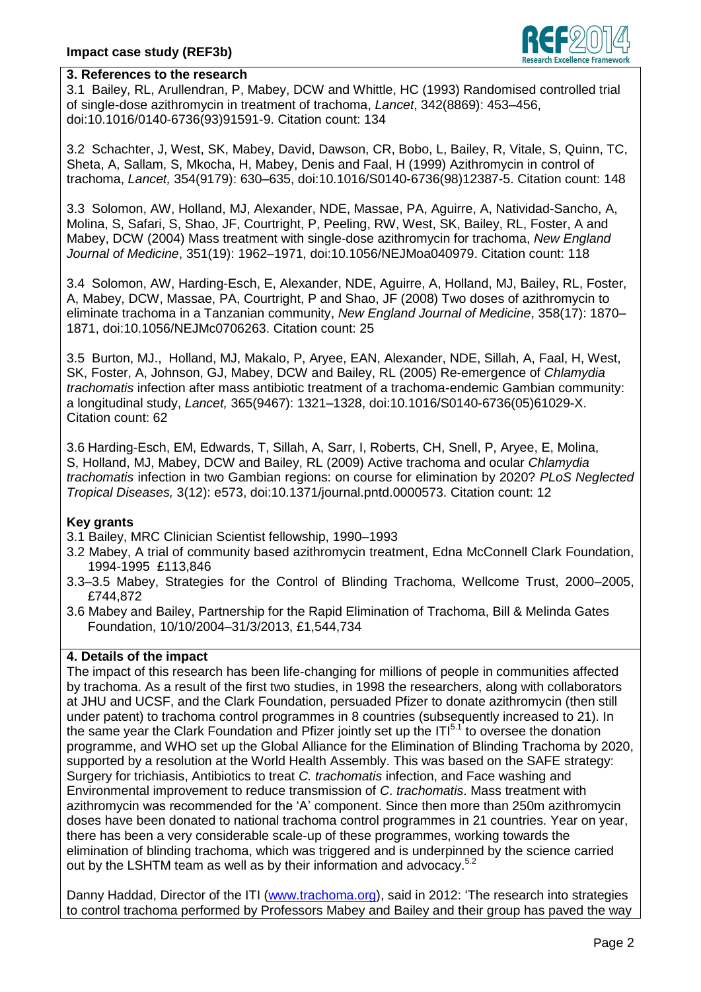

# **3. References to the research**

3.1 Bailey, RL, Arullendran, P, Mabey, DCW and Whittle, HC (1993) Randomised controlled trial of single-dose azithromycin in treatment of trachoma, *Lancet*, 342(8869): 453–456, doi:10.1016/0140-6736(93)91591-9. Citation count: 134

3.2 Schachter, J, West, SK, Mabey, David, Dawson, CR, Bobo, L, Bailey, R, Vitale, S, Quinn, TC, Sheta, A, Sallam, S, Mkocha, H, Mabey, Denis and Faal, H (1999) Azithromycin in control of trachoma, *Lancet,* 354(9179): 630–635, doi:10.1016/S0140-6736(98)12387-5. Citation count: 148

3.3 Solomon, AW, Holland, MJ, Alexander, NDE, Massae, PA, Aguirre, A, Natividad-Sancho, A, Molina, S, Safari, S, Shao, JF, Courtright, P, Peeling, RW, West, SK, Bailey, RL, Foster, A and Mabey, DCW (2004) Mass treatment with single-dose azithromycin for trachoma, *New England Journal of Medicine*, 351(19): 1962–1971, doi:10.1056/NEJMoa040979. Citation count: 118

3.4 Solomon, AW, Harding-Esch, E, Alexander, NDE, Aguirre, A, Holland, MJ, Bailey, RL, Foster, A, Mabey, DCW, Massae, PA, Courtright, P and Shao, JF (2008) Two doses of azithromycin to eliminate trachoma in a Tanzanian community, *New England Journal of Medicine*, 358(17): 1870– 1871, doi:10.1056/NEJMc0706263. Citation count: 25

3.5 Burton, MJ., Holland, MJ, Makalo, P, Aryee, EAN, Alexander, NDE, Sillah, A, Faal, H, West, SK, Foster, A, Johnson, GJ, Mabey, DCW and Bailey, RL (2005) Re-emergence of *Chlamydia trachomatis* infection after mass antibiotic treatment of a trachoma-endemic Gambian community: a longitudinal study, *Lancet,* 365(9467): 1321–1328, doi:10.1016/S0140-6736(05)61029-X. Citation count: 62

3.6 Harding-Esch, EM, Edwards, T, Sillah, A, Sarr, I, Roberts, CH, Snell, P, Aryee, E, Molina, S, Holland, MJ, Mabey, DCW and Bailey, RL (2009) Active trachoma and ocular *Chlamydia trachomatis* infection in two Gambian regions: on course for elimination by 2020? *PLoS Neglected Tropical Diseases,* 3(12): e573, doi:10.1371/journal.pntd.0000573. Citation count: 12

#### **Key grants**

- 3.1 Bailey, MRC Clinician Scientist fellowship, 1990–1993
- 3.2 Mabey, A trial of community based azithromycin treatment, Edna McConnell Clark Foundation, 1994-1995 £113,846
- 3.3–3.5 Mabey, Strategies for the Control of Blinding Trachoma, Wellcome Trust, 2000–2005, £744,872
- 3.6 Mabey and Bailey, Partnership for the Rapid Elimination of Trachoma, Bill & Melinda Gates Foundation, 10/10/2004–31/3/2013, £1,544,734

# **4. Details of the impact**

The impact of this research has been life-changing for millions of people in communities affected by trachoma. As a result of the first two studies, in 1998 the researchers, along with collaborators at JHU and UCSF, and the Clark Foundation, persuaded Pfizer to donate azithromycin (then still under patent) to trachoma control programmes in 8 countries (subsequently increased to 21). In the same year the Clark Foundation and Pfizer jointly set up the  $IT<sup>5.1</sup>$  to oversee the donation programme, and WHO set up the Global Alliance for the Elimination of Blinding Trachoma by 2020, supported by a resolution at the World Health Assembly. This was based on the SAFE strategy: Surgery for trichiasis, Antibiotics to treat *C. trachomatis* infection, and Face washing and Environmental improvement to reduce transmission of *C*. *trachomatis*. Mass treatment with azithromycin was recommended for the 'A' component. Since then more than 250m azithromycin doses have been donated to national trachoma control programmes in 21 countries. Year on year, there has been a very considerable scale-up of these programmes, working towards the elimination of blinding trachoma, which was triggered and is underpinned by the science carried out by the LSHTM team as well as by their information and advocacy.<sup>5.2</sup>

Danny Haddad, Director of the ITI [\(www.trachoma.org\)](http://www.trachoma.org/), said in 2012: 'The research into strategies to control trachoma performed by Professors Mabey and Bailey and their group has paved the way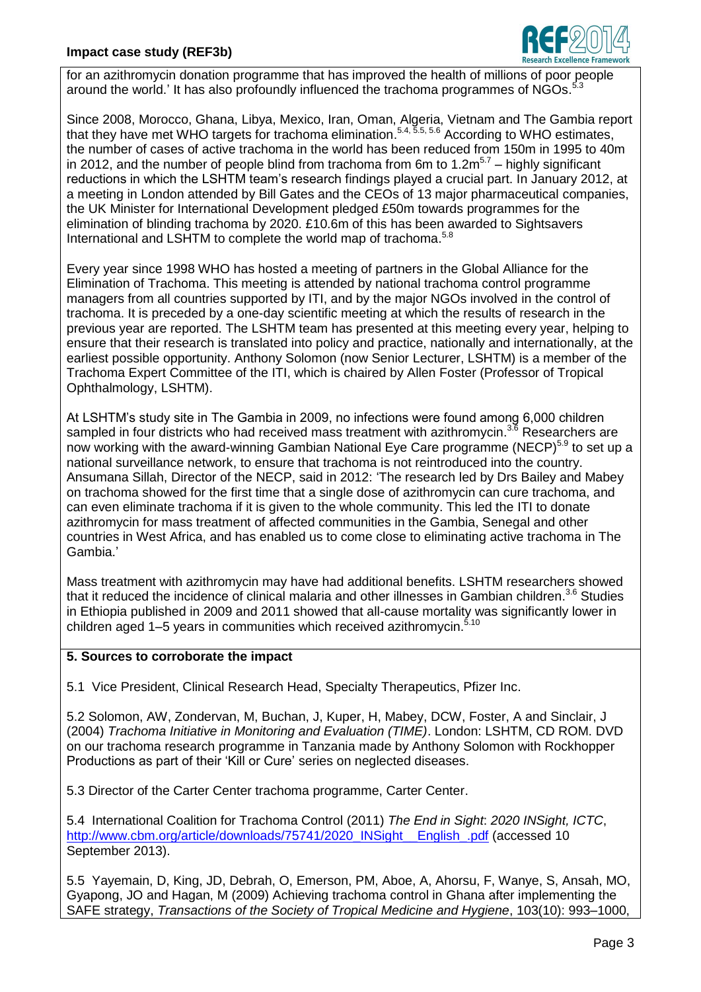

for an azithromycin donation programme that has improved the health of millions of poor people around the world.' It has also profoundly influenced the trachoma programmes of NGOs.<sup>5.3</sup>

Since 2008, Morocco, Ghana, Libya, Mexico, Iran, Oman, Algeria, Vietnam and The Gambia report that they have met WHO targets for trachoma elimination.<sup>5.4, 5.5, 5.6</sup> According to WHO estimates, the number of cases of active trachoma in the world has been reduced from 150m in 1995 to 40m in 2012, and the number of people blind from trachoma from 6m to  $1.2m^{5.7}$  – highly significant reductions in which the LSHTM team's research findings played a crucial part. In January 2012, at a meeting in London attended by Bill Gates and the CEOs of 13 major pharmaceutical companies, the UK Minister for International Development pledged £50m towards programmes for the elimination of blinding trachoma by 2020. £10.6m of this has been awarded to Sightsavers International and LSHTM to complete the world map of trachoma.<sup>5.8</sup>

Every year since 1998 WHO has hosted a meeting of partners in the Global Alliance for the Elimination of Trachoma. This meeting is attended by national trachoma control programme managers from all countries supported by ITI, and by the major NGOs involved in the control of trachoma. It is preceded by a one-day scientific meeting at which the results of research in the previous year are reported. The LSHTM team has presented at this meeting every year, helping to ensure that their research is translated into policy and practice, nationally and internationally, at the earliest possible opportunity. Anthony Solomon (now Senior Lecturer, LSHTM) is a member of the Trachoma Expert Committee of the ITI, which is chaired by Allen Foster (Professor of Tropical Ophthalmology, LSHTM).

At LSHTM's study site in The Gambia in 2009, no infections were found among 6,000 children sampled in four districts who had received mass treatment with azithromycin.<sup>3.6</sup> Researchers are now working with the award-winning Gambian National Eye Care programme (NECP)<sup>5.9</sup> to set up a national surveillance network, to ensure that trachoma is not reintroduced into the country. Ansumana Sillah, Director of the NECP, said in 2012: 'The research led by Drs Bailey and Mabey on trachoma showed for the first time that a single dose of azithromycin can cure trachoma, and can even eliminate trachoma if it is given to the whole community. This led the ITI to donate azithromycin for mass treatment of affected communities in the Gambia, Senegal and other countries in West Africa, and has enabled us to come close to eliminating active trachoma in The Gambia.'

Mass treatment with azithromycin may have had additional benefits. LSHTM researchers showed that it reduced the incidence of clinical malaria and other illnesses in Gambian children.<sup>3.6</sup> Studies in Ethiopia published in 2009 and 2011 showed that all-cause mortality was significantly lower in children aged 1–5 years in communities which received azithromycin.<sup>5.10</sup>

# **5. Sources to corroborate the impact**

5.1 Vice President, Clinical Research Head, Specialty Therapeutics, Pfizer Inc.

5.2 Solomon, AW, Zondervan, M, Buchan, J, Kuper, H, Mabey, DCW, Foster, A and Sinclair, J (2004) *Trachoma Initiative in Monitoring and Evaluation (TIME)*. London: LSHTM, CD ROM. DVD on our trachoma research programme in Tanzania made by Anthony Solomon with Rockhopper Productions as part of their 'Kill or Cure' series on neglected diseases.

5.3 Director of the Carter Center trachoma programme, Carter Center.

5.4 International Coalition for Trachoma Control (2011) *The End in Sight*: *2020 INSight, ICTC*, [http://www.cbm.org/article/downloads/75741/2020\\_INSight\\_\\_English\\_.pdf](http://www.cbm.org/article/downloads/75741/2020_INSight__English_.pdf) (accessed 10 September 2013).

5.5 Yayemain, D, King, JD, Debrah, O, Emerson, PM, Aboe, A, Ahorsu, F, Wanye, S, Ansah, MO, Gyapong, JO and Hagan, M (2009) Achieving trachoma control in Ghana after implementing the SAFE strategy, *Transactions of the Society of Tropical Medicine and Hygiene*, 103(10): 993–1000,